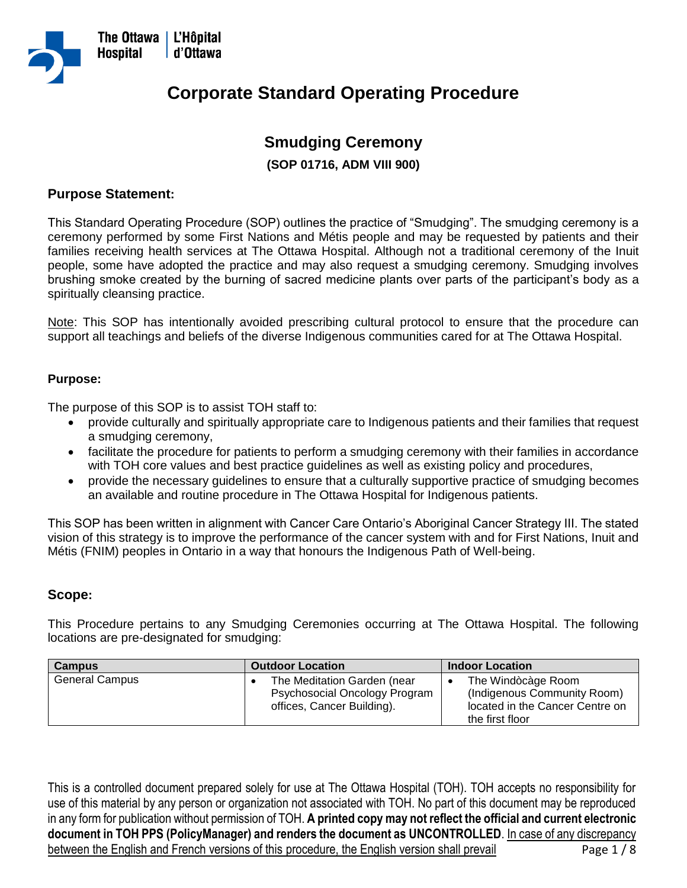

# **Corporate Standard Operating Procedure**

# **Smudging Ceremony**

**(SOP 01716, ADM VIII 900)**

## **Purpose Statement:**

This Standard Operating Procedure (SOP) outlines the practice of "Smudging". The smudging ceremony is a ceremony performed by some First Nations and Métis people and may be requested by patients and their families receiving health services at The Ottawa Hospital. Although not a traditional ceremony of the Inuit people, some have adopted the practice and may also request a smudging ceremony. Smudging involves brushing smoke created by the burning of sacred medicine plants over parts of the participant's body as a spiritually cleansing practice.

Note: This SOP has intentionally avoided prescribing cultural protocol to ensure that the procedure can support all teachings and beliefs of the diverse Indigenous communities cared for at The Ottawa Hospital.

#### **Purpose:**

The purpose of this SOP is to assist TOH staff to:

- provide culturally and spiritually appropriate care to Indigenous patients and their families that request a smudging ceremony,
- facilitate the procedure for patients to perform a smudging ceremony with their families in accordance with TOH core values and best practice guidelines as well as existing policy and procedures,
- provide the necessary guidelines to ensure that a culturally supportive practice of smudging becomes an available and routine procedure in The Ottawa Hospital for Indigenous patients.

This SOP has been written in alignment with Cancer Care Ontario's Aboriginal Cancer Strategy III. The stated vision of this strategy is to improve the performance of the cancer system with and for First Nations, Inuit and Métis (FNIM) peoples in Ontario in a way that honours the Indigenous Path of Well-being.

#### **Scope:**

This Procedure pertains to any Smudging Ceremonies occurring at The Ottawa Hospital. The following locations are pre-designated for smudging:

| <b>Campus</b>         | <b>Outdoor Location</b>       | <b>Indoor Location</b>          |
|-----------------------|-------------------------------|---------------------------------|
| <b>General Campus</b> | The Meditation Garden (near   | The Windocage Room              |
|                       | Psychosocial Oncology Program | (Indigenous Community Room)     |
|                       | offices, Cancer Building).    | located in the Cancer Centre on |
|                       |                               | the first floor                 |

This is a controlled document prepared solely for use at The Ottawa Hospital (TOH). TOH accepts no responsibility for use of this material by any person or organization not associated with TOH. No part of this document may be reproduced in any form for publication without permission of TOH. **A printed copy may not reflect the official and current electronic document in TOH PPS (PolicyManager) and renders the document as UNCONTROLLED**. In case of any discrepancy between the English and French versions of this procedure, the English version shall prevail Page 1/8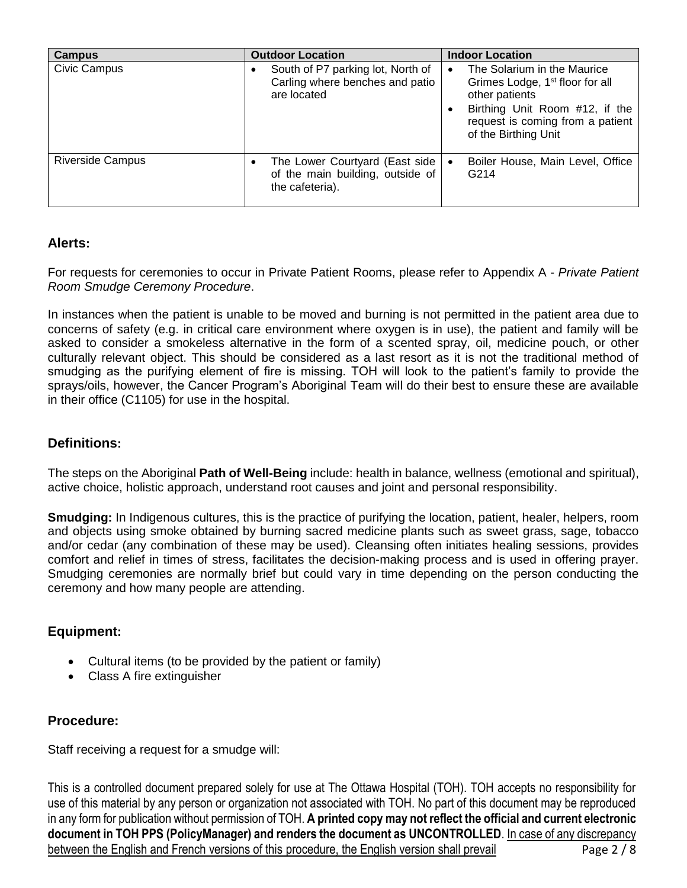| <b>Campus</b>           | <b>Outdoor Location</b>                                                                  | <b>Indoor Location</b>                                                                                                                                                                     |
|-------------------------|------------------------------------------------------------------------------------------|--------------------------------------------------------------------------------------------------------------------------------------------------------------------------------------------|
| Civic Campus            | South of P7 parking lot, North of<br>٠<br>Carling where benches and patio<br>are located | The Solarium in the Maurice<br>Grimes Lodge, 1 <sup>st</sup> floor for all<br>other patients<br>Birthing Unit Room #12, if the<br>request is coming from a patient<br>of the Birthing Unit |
| <b>Riverside Campus</b> | The Lower Courtyard (East side  <br>of the main building, outside of<br>the cafeteria).  | Boiler House, Main Level, Office<br>G <sub>2</sub> 14                                                                                                                                      |

# **Alerts:**

For requests for ceremonies to occur in Private Patient Rooms, please refer to Appendix A - *Private Patient Room Smudge Ceremony Procedure*.

In instances when the patient is unable to be moved and burning is not permitted in the patient area due to concerns of safety (e.g. in critical care environment where oxygen is in use), the patient and family will be asked to consider a smokeless alternative in the form of a scented spray, oil, medicine pouch, or other culturally relevant object. This should be considered as a last resort as it is not the traditional method of smudging as the purifying element of fire is missing. TOH will look to the patient's family to provide the sprays/oils, however, the Cancer Program's Aboriginal Team will do their best to ensure these are available in their office (C1105) for use in the hospital.

# **Definitions:**

The steps on the Aboriginal **Path of Well-Being** include: health in balance, wellness (emotional and spiritual), active choice, holistic approach, understand root causes and joint and personal responsibility.

**Smudging:** In Indigenous cultures, this is the practice of purifying the location, patient, healer, helpers, room and objects using smoke obtained by burning sacred medicine plants such as sweet grass, sage, tobacco and/or cedar (any combination of these may be used). Cleansing often initiates healing sessions, provides comfort and relief in times of stress, facilitates the decision-making process and is used in offering prayer. Smudging ceremonies are normally brief but could vary in time depending on the person conducting the ceremony and how many people are attending.

# **Equipment:**

- Cultural items (to be provided by the patient or family)
- Class A fire extinguisher

## **Procedure:**

Staff receiving a request for a smudge will:

This is a controlled document prepared solely for use at The Ottawa Hospital (TOH). TOH accepts no responsibility for use of this material by any person or organization not associated with TOH. No part of this document may be reproduced in any form for publication without permission of TOH. **A printed copy may not reflect the official and current electronic document in TOH PPS (PolicyManager) and renders the document as UNCONTROLLED**. In case of any discrepancy between the English and French versions of this procedure, the English version shall prevail Page 2 / 8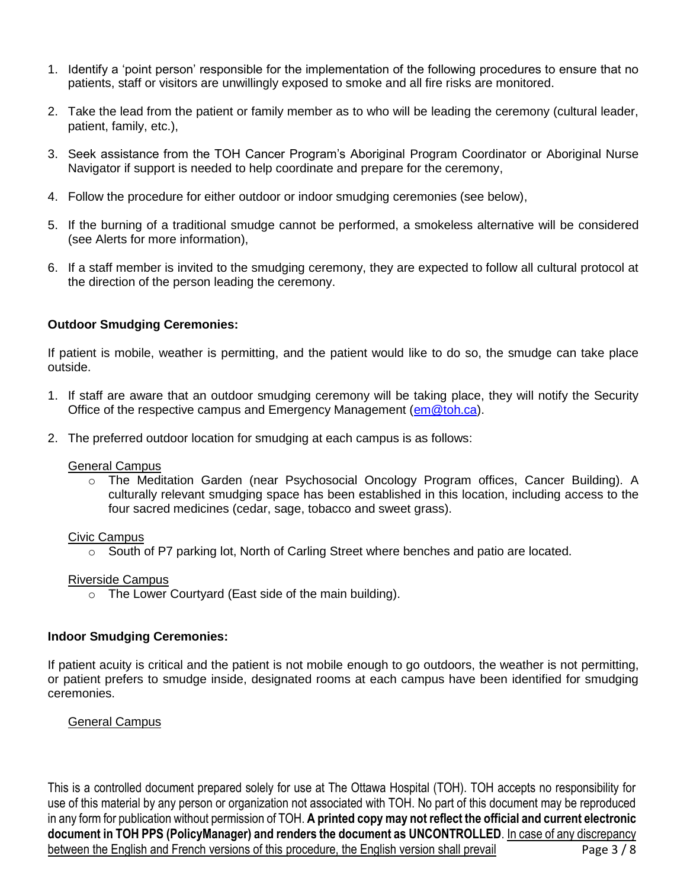- 1. Identify a 'point person' responsible for the implementation of the following procedures to ensure that no patients, staff or visitors are unwillingly exposed to smoke and all fire risks are monitored.
- 2. Take the lead from the patient or family member as to who will be leading the ceremony (cultural leader, patient, family, etc.),
- 3. Seek assistance from the TOH Cancer Program's Aboriginal Program Coordinator or Aboriginal Nurse Navigator if support is needed to help coordinate and prepare for the ceremony,
- 4. Follow the procedure for either outdoor or indoor smudging ceremonies (see below),
- 5. If the burning of a traditional smudge cannot be performed, a smokeless alternative will be considered (see Alerts for more information),
- 6. If a staff member is invited to the smudging ceremony, they are expected to follow all cultural protocol at the direction of the person leading the ceremony.

#### **Outdoor Smudging Ceremonies:**

If patient is mobile, weather is permitting, and the patient would like to do so, the smudge can take place outside.

- 1. If staff are aware that an outdoor smudging ceremony will be taking place, they will notify the Security Office of the respective campus and Emergency Management [\(em@toh.ca\)](mailto:em@toh.ca).
- 2. The preferred outdoor location for smudging at each campus is as follows:

#### General Campus

o The Meditation Garden (near Psychosocial Oncology Program offices, Cancer Building). A culturally relevant smudging space has been established in this location, including access to the four sacred medicines (cedar, sage, tobacco and sweet grass).

#### Civic Campus

o South of P7 parking lot, North of Carling Street where benches and patio are located.

#### Riverside Campus

 $\circ$  The Lower Courtyard (East side of the main building).

#### **Indoor Smudging Ceremonies:**

If patient acuity is critical and the patient is not mobile enough to go outdoors, the weather is not permitting, or patient prefers to smudge inside, designated rooms at each campus have been identified for smudging ceremonies.

#### General Campus

This is a controlled document prepared solely for use at The Ottawa Hospital (TOH). TOH accepts no responsibility for use of this material by any person or organization not associated with TOH. No part of this document may be reproduced in any form for publication without permission of TOH. **A printed copy may not reflect the official and current electronic document in TOH PPS (PolicyManager) and renders the document as UNCONTROLLED**. In case of any discrepancy between the English and French versions of this procedure, the English version shall prevail Page 3 / 8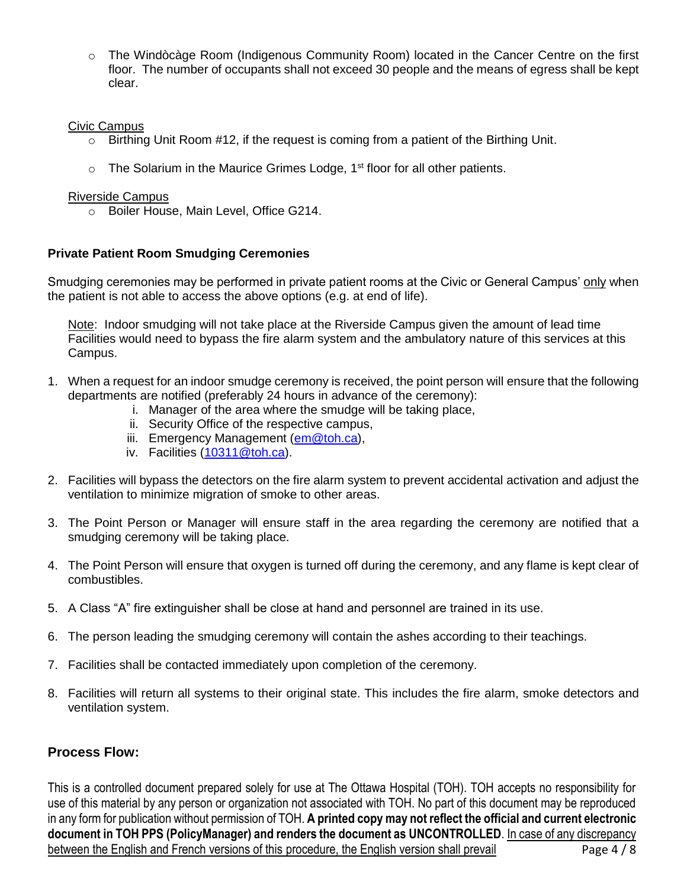o The Windòcàge Room (Indigenous Community Room) located in the Cancer Centre on the first floor. The number of occupants shall not exceed 30 people and the means of egress shall be kept clear.

#### Civic Campus

- o Birthing Unit Room #12, if the request is coming from a patient of the Birthing Unit.
- $\circ$  The Solarium in the Maurice Grimes Lodge, 1<sup>st</sup> floor for all other patients.

#### Riverside Campus

o Boiler House, Main Level, Office G214.

## **Private Patient Room Smudging Ceremonies**

Smudging ceremonies may be performed in private patient rooms at the Civic or General Campus' only when the patient is not able to access the above options (e.g. at end of life).

Note: Indoor smudging will not take place at the Riverside Campus given the amount of lead time Facilities would need to bypass the fire alarm system and the ambulatory nature of this services at this Campus.

- 1. When a request for an indoor smudge ceremony is received, the point person will ensure that the following departments are notified (preferably 24 hours in advance of the ceremony):
	- i. Manager of the area where the smudge will be taking place,
	- ii. Security Office of the respective campus,
	- iii. Emergency Management [\(em@toh.ca\)](mailto:em@toh.ca),
	- iv. Facilities [\(10311@toh.ca\)](mailto:10311@toh.ca).
- 2. Facilities will bypass the detectors on the fire alarm system to prevent accidental activation and adjust the ventilation to minimize migration of smoke to other areas.
- 3. The Point Person or Manager will ensure staff in the area regarding the ceremony are notified that a smudging ceremony will be taking place.
- 4. The Point Person will ensure that oxygen is turned off during the ceremony, and any flame is kept clear of combustibles.
- 5. A Class "A" fire extinguisher shall be close at hand and personnel are trained in its use.
- 6. The person leading the smudging ceremony will contain the ashes according to their teachings.
- 7. Facilities shall be contacted immediately upon completion of the ceremony.
- 8. Facilities will return all systems to their original state. This includes the fire alarm, smoke detectors and ventilation system.

## **Process Flow:**

This is a controlled document prepared solely for use at The Ottawa Hospital (TOH). TOH accepts no responsibility for use of this material by any person or organization not associated with TOH. No part of this document may be reproduced in any form for publication without permission of TOH. **A printed copy may not reflect the official and current electronic document in TOH PPS (PolicyManager) and renders the document as UNCONTROLLED**. In case of any discrepancy between the English and French versions of this procedure, the English version shall prevail Page 4 / 8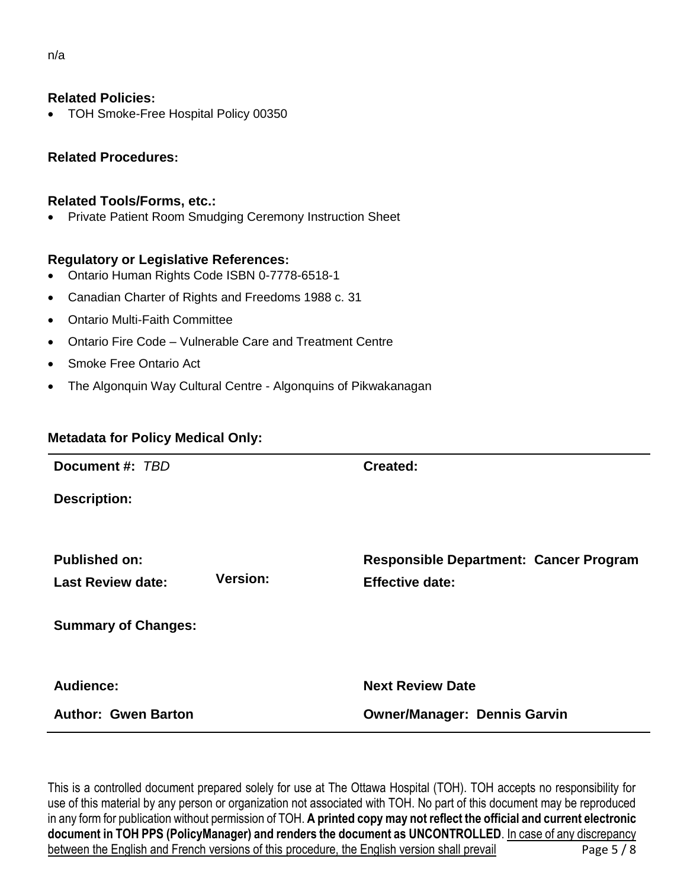## **Related Policies:**

• TOH Smoke-Free Hospital Policy 00350

## **Related Procedures:**

#### **Related Tools/Forms, etc.:**

• Private Patient Room Smudging Ceremony Instruction Sheet

#### **Regulatory or Legislative References:**

- Ontario Human Rights Code ISBN 0-7778-6518-1
- Canadian Charter of Rights and Freedoms 1988 c. 31
- Ontario Multi-Faith Committee
- Ontario Fire Code Vulnerable Care and Treatment Centre
- Smoke Free Ontario Act
- The Algonquin Way Cultural Centre Algonquins of Pikwakanagan

## **Metadata for Policy Medical Only:**

| Document #: TBD                                  |                 | Created:                                                                |
|--------------------------------------------------|-----------------|-------------------------------------------------------------------------|
| <b>Description:</b>                              |                 |                                                                         |
| <b>Published on:</b><br><b>Last Review date:</b> | <b>Version:</b> | <b>Responsible Department: Cancer Program</b><br><b>Effective date:</b> |
| <b>Summary of Changes:</b>                       |                 |                                                                         |
| Audience:                                        |                 | <b>Next Review Date</b>                                                 |
| <b>Author: Gwen Barton</b>                       |                 | <b>Owner/Manager: Dennis Garvin</b>                                     |

This is a controlled document prepared solely for use at The Ottawa Hospital (TOH). TOH accepts no responsibility for use of this material by any person or organization not associated with TOH. No part of this document may be reproduced in any form for publication without permission of TOH. **A printed copy may not reflect the official and current electronic document in TOH PPS (PolicyManager) and renders the document as UNCONTROLLED**. In case of any discrepancy between the English and French versions of this procedure, the English version shall prevail Page 5 / 8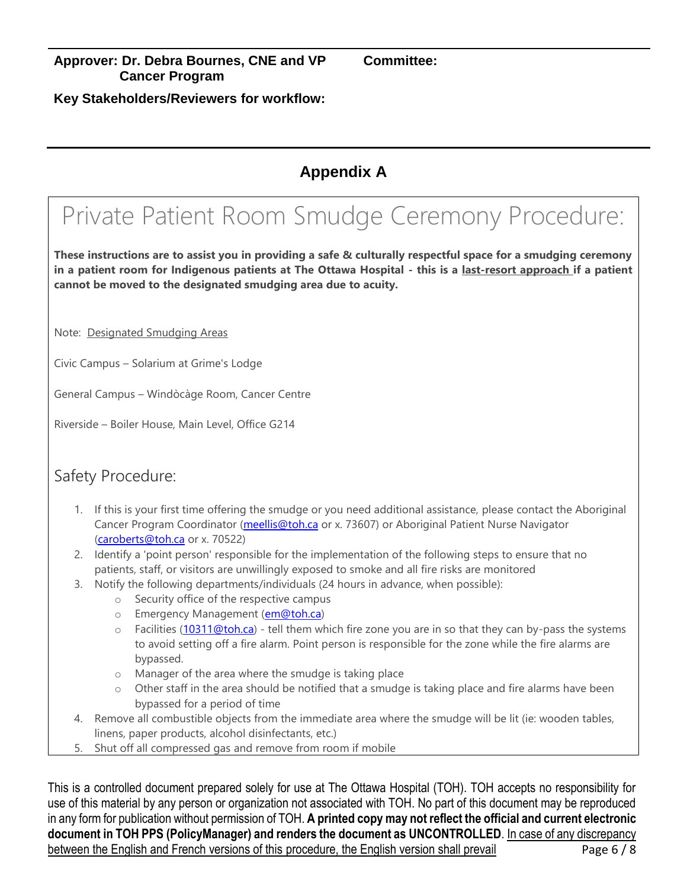**Key Stakeholders/Reviewers for workflow:** 

# **Appendix A**

# Private Patient Room Smudge Ceremony Procedure:

**These instructions are to assist you in providing a safe & culturally respectful space for a smudging ceremony in a patient room for Indigenous patients at The Ottawa Hospital - this is a last-resort approach if a patient cannot be moved to the designated smudging area due to acuity.** 

Note: Designated Smudging Areas

Civic Campus – Solarium at Grime's Lodge

General Campus – Windòcàge Room, Cancer Centre

Riverside – Boiler House, Main Level, Office G214

# Safety Procedure:

- 1. If this is your first time offering the smudge or you need additional assistance, please contact the Aboriginal Cancer Program Coordinator [\(meellis@toh.ca](mailto:meellis@toh.ca) or x. 73607) or Aboriginal Patient Nurse Navigator [\(caroberts@toh.ca](mailto:caroberts@toh.ca) or x. 70522)
- 2. Identify a 'point person' responsible for the implementation of the following steps to ensure that no patients, staff, or visitors are unwillingly exposed to smoke and all fire risks are monitored
- 3. Notify the following departments/individuals (24 hours in advance, when possible):
	- o Security office of the respective campus
	- o Emergency Management [\(em@toh.ca\)](mailto:em@toh.ca)
	- o Facilities [\(10311@toh.ca\)](mailto:10311@toh.ca) tell them which fire zone you are in so that they can by-pass the systems to avoid setting off a fire alarm. Point person is responsible for the zone while the fire alarms are bypassed.
	- o Manager of the area where the smudge is taking place
	- o Other staff in the area should be notified that a smudge is taking place and fire alarms have been bypassed for a period of time
- 4. Remove all combustible objects from the immediate area where the smudge will be lit (ie: wooden tables, linens, paper products, alcohol disinfectants, etc.)
- 5. Shut off all compressed gas and remove from room if mobile

This is a controlled document prepared solely for use at The Ottawa Hospital (TOH). TOH accepts no responsibility for use of this material by any person or organization not associated with TOH. No part of this document may be reproduced in any form for publication without permission of TOH. **A printed copy may not reflect the official and current electronic document in TOH PPS (PolicyManager) and renders the document as UNCONTROLLED**. In case of any discrepancy between the English and French versions of this procedure, the English version shall prevail Page 6 / 8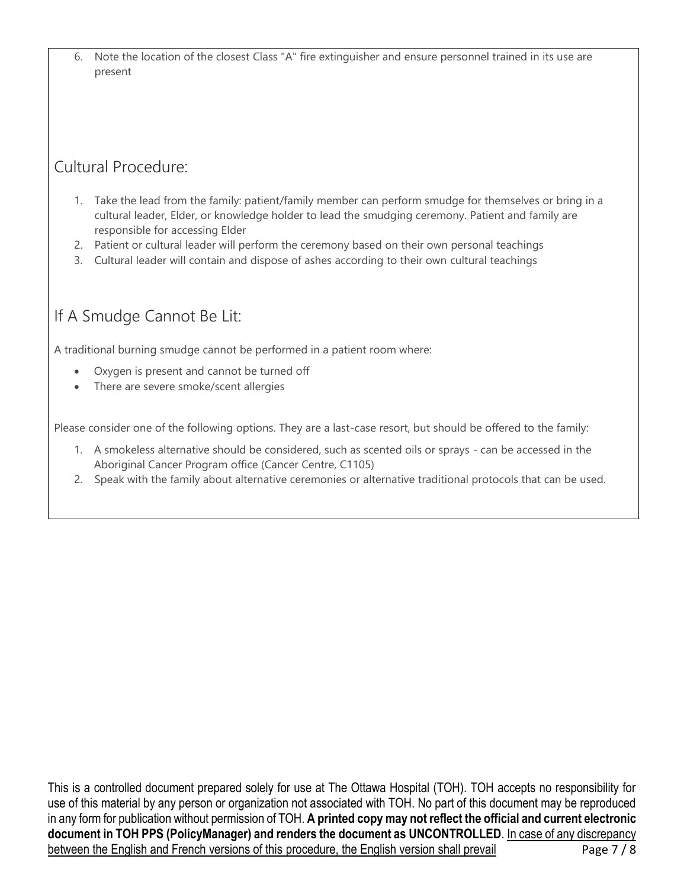6. Note the location of the closest Class "A" fire extinguisher and ensure personnel trained in its use are present

# Cultural Procedure:

- 1. Take the lead from the family: patient/family member can perform smudge for themselves or bring in a cultural leader, Elder, or knowledge holder to lead the smudging ceremony. Patient and family are responsible for accessing Elder
- 2. Patient or cultural leader will perform the ceremony based on their own personal teachings
- 3. Cultural leader will contain and dispose of ashes according to their own cultural teachings

# If A Smudge Cannot Be Lit:

A traditional burning smudge cannot be performed in a patient room where:

- Oxygen is present and cannot be turned off
- There are severe smoke/scent allergies

Please consider one of the following options. They are a last-case resort, but should be offered to the family:

- 1. A smokeless alternative should be considered, such as scented oils or sprays can be accessed in the Aboriginal Cancer Program office (Cancer Centre, C1105)
- 2. Speak with the family about alternative ceremonies or alternative traditional protocols that can be used.

This is a controlled document prepared solely for use at The Ottawa Hospital (TOH). TOH accepts no responsibility for use of this material by any person or organization not associated with TOH. No part of this document may be reproduced in any form for publication without permission of TOH. **A printed copy may not reflect the official and current electronic document in TOH PPS (PolicyManager) and renders the document as UNCONTROLLED**. In case of any discrepancy between the English and French versions of this procedure, the English version shall prevail Page 7 / 8